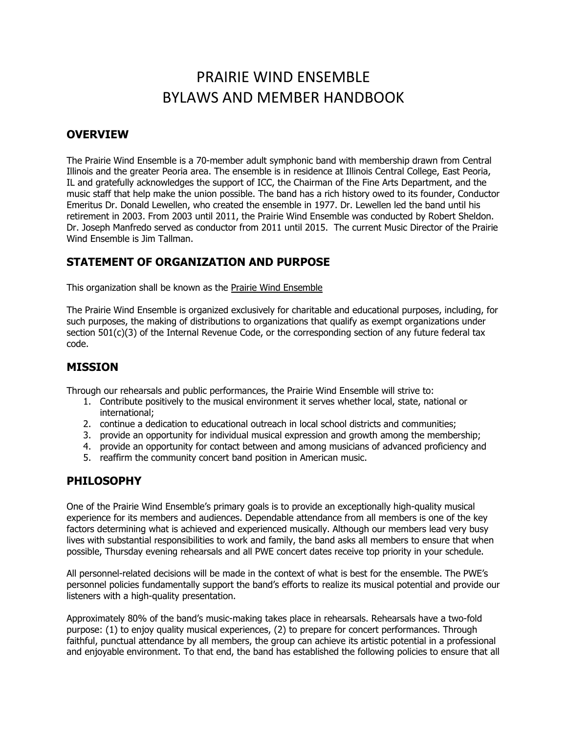# PRAIRIE WIND ENSEMBLE BYLAWS AND MEMBER HANDBOOK

#### **OVERVIEW**

The Prairie Wind Ensemble is a 70-member adult symphonic band with membership drawn from Central Illinois and the greater Peoria area. The ensemble is in residence at Illinois Central College, East Peoria, IL and gratefully acknowledges the support of ICC, the Chairman of the Fine Arts Department, and the music staff that help make the union possible. The band has a rich history owed to its founder, Conductor Emeritus Dr. Donald Lewellen, who created the ensemble in 1977. Dr. Lewellen led the band until his retirement in 2003. From 2003 until 2011, the Prairie Wind Ensemble was conducted by Robert Sheldon. Dr. Joseph Manfredo served as conductor from 2011 until 2015. The current Music Director of the Prairie Wind Ensemble is Jim Tallman.

### **STATEMENT OF ORGANIZATION AND PURPOSE**

This organization shall be known as the Prairie Wind Ensemble

The Prairie Wind Ensemble is organized exclusively for charitable and educational purposes, including, for such purposes, the making of distributions to organizations that qualify as exempt organizations under section  $501(c)(3)$  of the Internal Revenue Code, or the corresponding section of any future federal tax code.

# **MISSION**

Through our rehearsals and public performances, the Prairie Wind Ensemble will strive to:

- 1. Contribute positively to the musical environment it serves whether local, state, national or international;
- 2. continue a dedication to educational outreach in local school districts and communities;
- 3. provide an opportunity for individual musical expression and growth among the membership;
- 4. provide an opportunity for contact between and among musicians of advanced proficiency and
- 5. reaffirm the community concert band position in American music.

#### **PHILOSOPHY**

One of the Prairie Wind Ensemble's primary goals is to provide an exceptionally high-quality musical experience for its members and audiences. Dependable attendance from all members is one of the key factors determining what is achieved and experienced musically. Although our members lead very busy lives with substantial responsibilities to work and family, the band asks all members to ensure that when possible, Thursday evening rehearsals and all PWE concert dates receive top priority in your schedule.

All personnel-related decisions will be made in the context of what is best for the ensemble. The PWE's personnel policies fundamentally support the band's efforts to realize its musical potential and provide our listeners with a high-quality presentation.

Approximately 80% of the band's music-making takes place in rehearsals. Rehearsals have a two-fold purpose: (1) to enjoy quality musical experiences, (2) to prepare for concert performances. Through faithful, punctual attendance by all members, the group can achieve its artistic potential in a professional and enjoyable environment. To that end, the band has established the following policies to ensure that all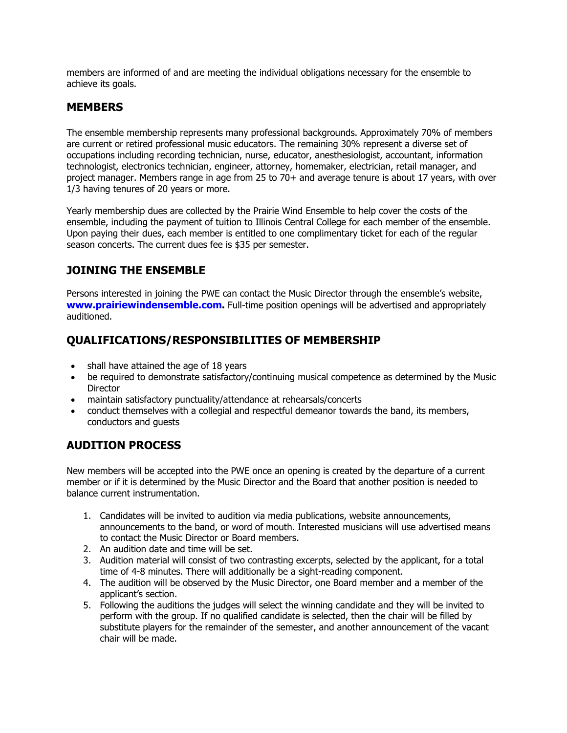members are informed of and are meeting the individual obligations necessary for the ensemble to achieve its goals.

#### **MEMBERS**

The ensemble membership represents many professional backgrounds. Approximately 70% of members are current or retired professional music educators. The remaining 30% represent a diverse set of occupations including recording technician, nurse, educator, anesthesiologist, accountant, information technologist, electronics technician, engineer, attorney, homemaker, electrician, retail manager, and project manager. Members range in age from 25 to 70+ and average tenure is about 17 years, with over 1/3 having tenures of 20 years or more.

Yearly membership dues are collected by the Prairie Wind Ensemble to help cover the costs of the ensemble, including the payment of tuition to Illinois Central College for each member of the ensemble. Upon paying their dues, each member is entitled to one complimentary ticket for each of the regular season concerts. The current dues fee is \$35 per semester.

# **JOINING THE ENSEMBLE**

Persons interested in joining the PWE can contact the Music Director through the ensemble's website, **www.prairiewindensemble.com.** Full-time position openings will be advertised and appropriately auditioned.

# **QUALIFICATIONS/RESPONSIBILITIES OF MEMBERSHIP**

- shall have attained the age of 18 years
- be required to demonstrate satisfactory/continuing musical competence as determined by the Music **Director**
- maintain satisfactory punctuality/attendance at rehearsals/concerts
- conduct themselves with a collegial and respectful demeanor towards the band, its members, conductors and guests

# **AUDITION PROCESS**

New members will be accepted into the PWE once an opening is created by the departure of a current member or if it is determined by the Music Director and the Board that another position is needed to balance current instrumentation.

- 1. Candidates will be invited to audition via media publications, website announcements, announcements to the band, or word of mouth. Interested musicians will use advertised means to contact the Music Director or Board members.
- 2. An audition date and time will be set.
- 3. Audition material will consist of two contrasting excerpts, selected by the applicant, for a total time of 4-8 minutes. There will additionally be a sight-reading component.
- 4. The audition will be observed by the Music Director, one Board member and a member of the applicant's section.
- 5. Following the auditions the judges will select the winning candidate and they will be invited to perform with the group. If no qualified candidate is selected, then the chair will be filled by substitute players for the remainder of the semester, and another announcement of the vacant chair will be made.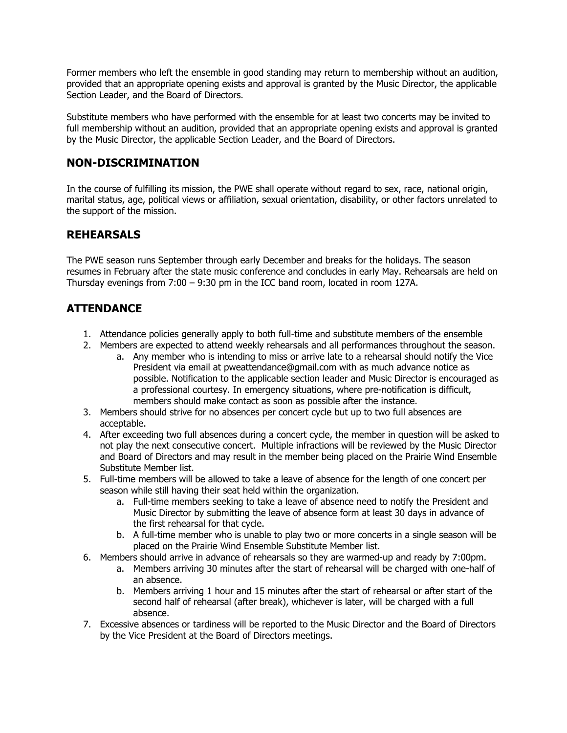Former members who left the ensemble in good standing may return to membership without an audition, provided that an appropriate opening exists and approval is granted by the Music Director, the applicable Section Leader, and the Board of Directors.

Substitute members who have performed with the ensemble for at least two concerts may be invited to full membership without an audition, provided that an appropriate opening exists and approval is granted by the Music Director, the applicable Section Leader, and the Board of Directors.

### **NON-DISCRIMINATION**

In the course of fulfilling its mission, the PWE shall operate without regard to sex, race, national origin, marital status, age, political views or affiliation, sexual orientation, disability, or other factors unrelated to the support of the mission.

### **REHEARSALS**

The PWE season runs September through early December and breaks for the holidays. The season resumes in February after the state music conference and concludes in early May. Rehearsals are held on Thursday evenings from 7:00 – 9:30 pm in the ICC band room, located in room 127A.

### **ATTENDANCE**

- 1. Attendance policies generally apply to both full-time and substitute members of the ensemble
- 2. Members are expected to attend weekly rehearsals and all performances throughout the season.
	- a. Any member who is intending to miss or arrive late to a rehearsal should notify the Vice President via email at pweattendance@gmail.com with as much advance notice as possible. Notification to the applicable section leader and Music Director is encouraged as a professional courtesy. In emergency situations, where pre-notification is difficult, members should make contact as soon as possible after the instance.
- 3. Members should strive for no absences per concert cycle but up to two full absences are acceptable.
- 4. After exceeding two full absences during a concert cycle, the member in question will be asked to not play the next consecutive concert. Multiple infractions will be reviewed by the Music Director and Board of Directors and may result in the member being placed on the Prairie Wind Ensemble Substitute Member list.
- 5. Full-time members will be allowed to take a leave of absence for the length of one concert per season while still having their seat held within the organization.
	- a. Full-time members seeking to take a leave of absence need to notify the President and Music Director by submitting the leave of absence form at least 30 days in advance of the first rehearsal for that cycle.
	- b. A full-time member who is unable to play two or more concerts in a single season will be placed on the Prairie Wind Ensemble Substitute Member list.
- 6. Members should arrive in advance of rehearsals so they are warmed-up and ready by 7:00pm.
	- a. Members arriving 30 minutes after the start of rehearsal will be charged with one-half of an absence.
	- b. Members arriving 1 hour and 15 minutes after the start of rehearsal or after start of the second half of rehearsal (after break), whichever is later, will be charged with a full absence.
- 7. Excessive absences or tardiness will be reported to the Music Director and the Board of Directors by the Vice President at the Board of Directors meetings.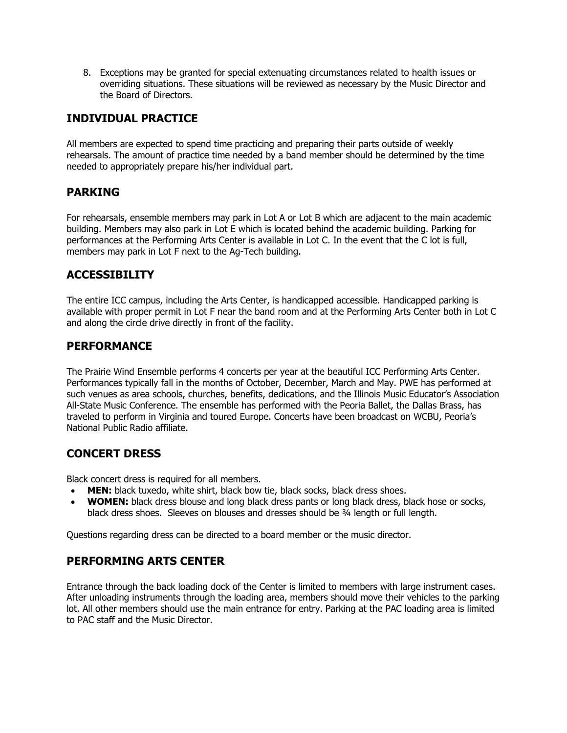8. Exceptions may be granted for special extenuating circumstances related to health issues or overriding situations. These situations will be reviewed as necessary by the Music Director and the Board of Directors.

# **INDIVIDUAL PRACTICE**

All members are expected to spend time practicing and preparing their parts outside of weekly rehearsals. The amount of practice time needed by a band member should be determined by the time needed to appropriately prepare his/her individual part.

# **PARKING**

For rehearsals, ensemble members may park in Lot A or Lot B which are adjacent to the main academic building. Members may also park in Lot E which is located behind the academic building. Parking for performances at the Performing Arts Center is available in Lot C. In the event that the C lot is full, members may park in Lot F next to the Ag-Tech building.

# **ACCESSIBILITY**

The entire ICC campus, including the Arts Center, is handicapped accessible. Handicapped parking is available with proper permit in Lot F near the band room and at the Performing Arts Center both in Lot C and along the circle drive directly in front of the facility.

### **PERFORMANCE**

The Prairie Wind Ensemble performs 4 concerts per year at the beautiful ICC Performing Arts Center. Performances typically fall in the months of October, December, March and May. PWE has performed at such venues as area schools, churches, benefits, dedications, and the Illinois Music Educator's Association All-State Music Conference. The ensemble has performed with the Peoria Ballet, the Dallas Brass, has traveled to perform in Virginia and toured Europe. Concerts have been broadcast on WCBU, Peoria's National Public Radio affiliate.

# **CONCERT DRESS**

Black concert dress is required for all members.

- **MEN:** black tuxedo, white shirt, black bow tie, black socks, black dress shoes.
- **WOMEN:** black dress blouse and long black dress pants or long black dress, black hose or socks, black dress shoes. Sleeves on blouses and dresses should be ¾ length or full length.

Questions regarding dress can be directed to a board member or the music director.

# **PERFORMING ARTS CENTER**

Entrance through the back loading dock of the Center is limited to members with large instrument cases. After unloading instruments through the loading area, members should move their vehicles to the parking lot. All other members should use the main entrance for entry. Parking at the PAC loading area is limited to PAC staff and the Music Director.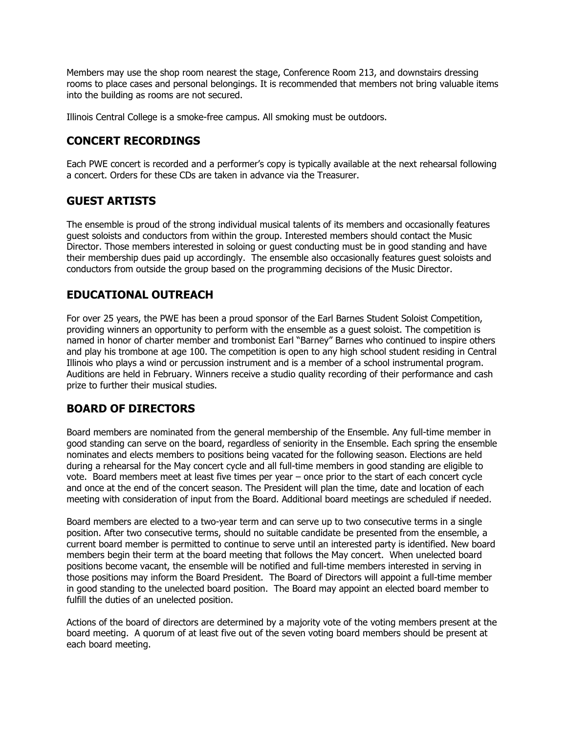Members may use the shop room nearest the stage, Conference Room 213, and downstairs dressing rooms to place cases and personal belongings. It is recommended that members not bring valuable items into the building as rooms are not secured.

Illinois Central College is a smoke-free campus. All smoking must be outdoors.

# **CONCERT RECORDINGS**

Each PWE concert is recorded and a performer's copy is typically available at the next rehearsal following a concert. Orders for these CDs are taken in advance via the Treasurer.

#### **GUEST ARTISTS**

The ensemble is proud of the strong individual musical talents of its members and occasionally features guest soloists and conductors from within the group. Interested members should contact the Music Director. Those members interested in soloing or guest conducting must be in good standing and have their membership dues paid up accordingly. The ensemble also occasionally features guest soloists and conductors from outside the group based on the programming decisions of the Music Director.

### **EDUCATIONAL OUTREACH**

For over 25 years, the PWE has been a proud sponsor of the Earl Barnes Student Soloist Competition, providing winners an opportunity to perform with the ensemble as a guest soloist. The competition is named in honor of charter member and trombonist Earl "Barney" Barnes who continued to inspire others and play his trombone at age 100. The competition is open to any high school student residing in Central Illinois who plays a wind or percussion instrument and is a member of a school instrumental program. Auditions are held in February. Winners receive a studio quality recording of their performance and cash prize to further their musical studies.

# **BOARD OF DIRECTORS**

Board members are nominated from the general membership of the Ensemble. Any full-time member in good standing can serve on the board, regardless of seniority in the Ensemble. Each spring the ensemble nominates and elects members to positions being vacated for the following season. Elections are held during a rehearsal for the May concert cycle and all full-time members in good standing are eligible to vote. Board members meet at least five times per year – once prior to the start of each concert cycle and once at the end of the concert season. The President will plan the time, date and location of each meeting with consideration of input from the Board. Additional board meetings are scheduled if needed.

Board members are elected to a two-year term and can serve up to two consecutive terms in a single position. After two consecutive terms, should no suitable candidate be presented from the ensemble, a current board member is permitted to continue to serve until an interested party is identified. New board members begin their term at the board meeting that follows the May concert. When unelected board positions become vacant, the ensemble will be notified and full-time members interested in serving in those positions may inform the Board President. The Board of Directors will appoint a full-time member in good standing to the unelected board position. The Board may appoint an elected board member to fulfill the duties of an unelected position.

Actions of the board of directors are determined by a majority vote of the voting members present at the board meeting. A quorum of at least five out of the seven voting board members should be present at each board meeting.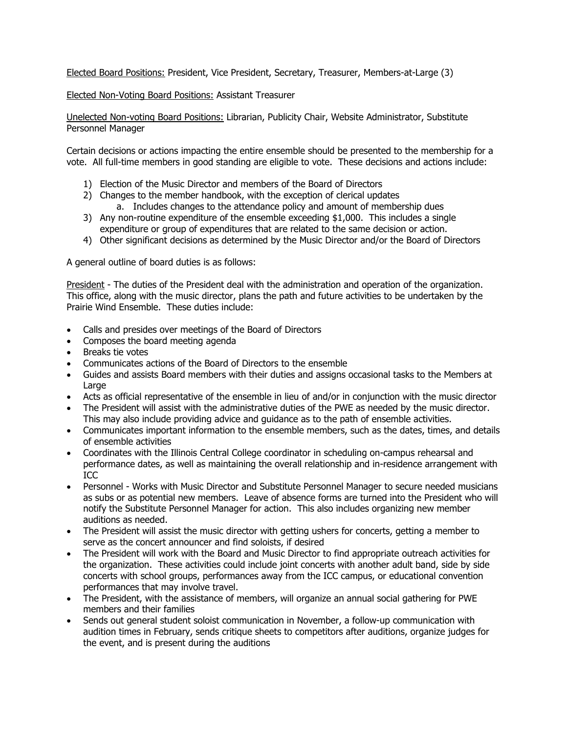Elected Board Positions: President, Vice President, Secretary, Treasurer, Members-at-Large (3)

Elected Non-Voting Board Positions: Assistant Treasurer

Unelected Non-voting Board Positions: Librarian, Publicity Chair, Website Administrator, Substitute Personnel Manager

Certain decisions or actions impacting the entire ensemble should be presented to the membership for a vote. All full-time members in good standing are eligible to vote. These decisions and actions include:

- 1) Election of the Music Director and members of the Board of Directors
- 2) Changes to the member handbook, with the exception of clerical updates
	- a. Includes changes to the attendance policy and amount of membership dues
- 3) Any non-routine expenditure of the ensemble exceeding \$1,000. This includes a single expenditure or group of expenditures that are related to the same decision or action.
- 4) Other significant decisions as determined by the Music Director and/or the Board of Directors

A general outline of board duties is as follows:

President - The duties of the President deal with the administration and operation of the organization. This office, along with the music director, plans the path and future activities to be undertaken by the Prairie Wind Ensemble. These duties include:

- Calls and presides over meetings of the Board of Directors
- Composes the board meeting agenda
- Breaks tie votes
- Communicates actions of the Board of Directors to the ensemble
- Guides and assists Board members with their duties and assigns occasional tasks to the Members at Large
- Acts as official representative of the ensemble in lieu of and/or in conjunction with the music director
- The President will assist with the administrative duties of the PWE as needed by the music director. This may also include providing advice and guidance as to the path of ensemble activities.
- Communicates important information to the ensemble members, such as the dates, times, and details of ensemble activities
- Coordinates with the Illinois Central College coordinator in scheduling on-campus rehearsal and performance dates, as well as maintaining the overall relationship and in-residence arrangement with ICC
- Personnel Works with Music Director and Substitute Personnel Manager to secure needed musicians as subs or as potential new members. Leave of absence forms are turned into the President who will notify the Substitute Personnel Manager for action. This also includes organizing new member auditions as needed.
- The President will assist the music director with getting ushers for concerts, getting a member to serve as the concert announcer and find soloists, if desired
- The President will work with the Board and Music Director to find appropriate outreach activities for the organization. These activities could include joint concerts with another adult band, side by side concerts with school groups, performances away from the ICC campus, or educational convention performances that may involve travel.
- The President, with the assistance of members, will organize an annual social gathering for PWE members and their families
- Sends out general student soloist communication in November, a follow-up communication with audition times in February, sends critique sheets to competitors after auditions, organize judges for the event, and is present during the auditions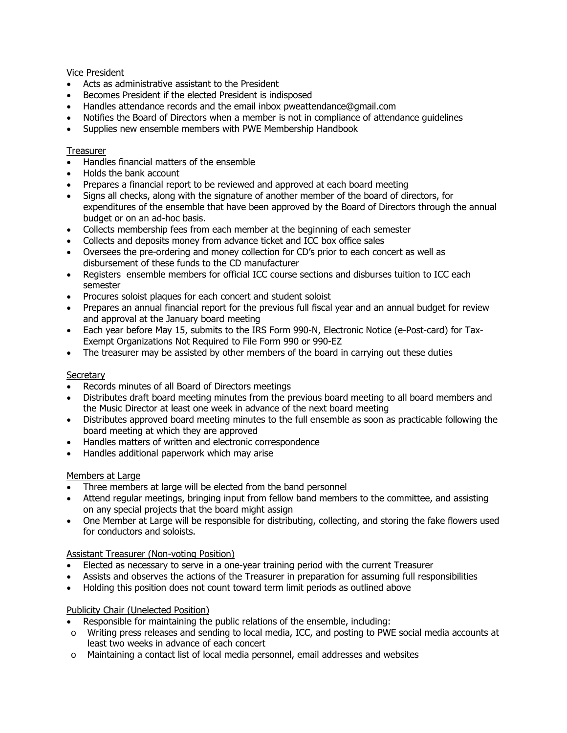#### Vice President

- Acts as administrative assistant to the President
- Becomes President if the elected President is indisposed
- Handles attendance records and the email inbox pweattendance@gmail.com
- Notifies the Board of Directors when a member is not in compliance of attendance guidelines
- Supplies new ensemble members with PWE Membership Handbook

#### **Treasurer**

- Handles financial matters of the ensemble
- Holds the bank account
- Prepares a financial report to be reviewed and approved at each board meeting
- Signs all checks, along with the signature of another member of the board of directors, for expenditures of the ensemble that have been approved by the Board of Directors through the annual budget or on an ad-hoc basis.
- Collects membership fees from each member at the beginning of each semester
- Collects and deposits money from advance ticket and ICC box office sales
- Oversees the pre-ordering and money collection for CD's prior to each concert as well as disbursement of these funds to the CD manufacturer
- Registers ensemble members for official ICC course sections and disburses tuition to ICC each semester
- Procures soloist plaques for each concert and student soloist
- Prepares an annual financial report for the previous full fiscal year and an annual budget for review and approval at the January board meeting
- Each year before May 15, submits to the IRS Form 990-N, Electronic Notice (e-Post-card) for Tax-Exempt Organizations Not Required to File Form 990 or 990-EZ
- The treasurer may be assisted by other members of the board in carrying out these duties

#### **Secretary**

- Records minutes of all Board of Directors meetings
- Distributes draft board meeting minutes from the previous board meeting to all board members and the Music Director at least one week in advance of the next board meeting
- Distributes approved board meeting minutes to the full ensemble as soon as practicable following the board meeting at which they are approved
- Handles matters of written and electronic correspondence
- Handles additional paperwork which may arise

#### Members at Large

- Three members at large will be elected from the band personnel
- Attend regular meetings, bringing input from fellow band members to the committee, and assisting on any special projects that the board might assign
- One Member at Large will be responsible for distributing, collecting, and storing the fake flowers used for conductors and soloists.

#### Assistant Treasurer (Non-voting Position)

- Elected as necessary to serve in a one-year training period with the current Treasurer
- Assists and observes the actions of the Treasurer in preparation for assuming full responsibilities
- Holding this position does not count toward term limit periods as outlined above

#### Publicity Chair (Unelected Position)

- Responsible for maintaining the public relations of the ensemble, including:
- o Writing press releases and sending to local media, ICC, and posting to PWE social media accounts at least two weeks in advance of each concert
- $\circ$  Maintaining a contact list of local media personnel, email addresses and websites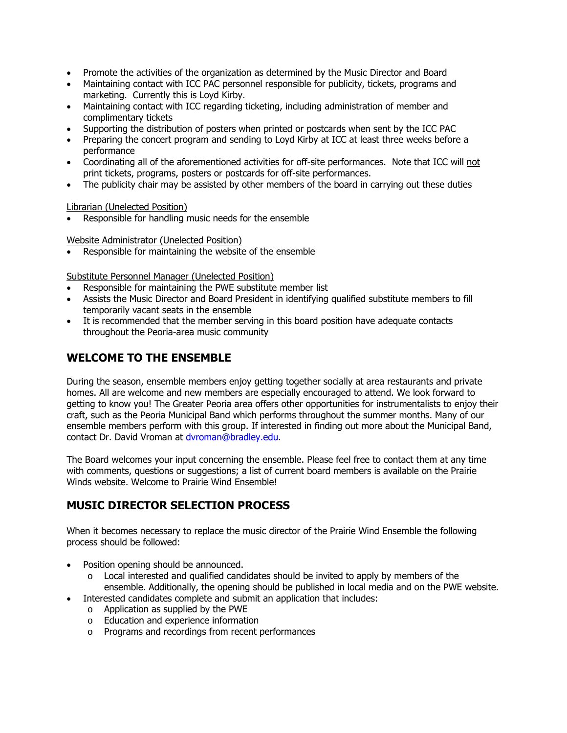- Promote the activities of the organization as determined by the Music Director and Board
- Maintaining contact with ICC PAC personnel responsible for publicity, tickets, programs and marketing. Currently this is Loyd Kirby.
- Maintaining contact with ICC regarding ticketing, including administration of member and complimentary tickets
- Supporting the distribution of posters when printed or postcards when sent by the ICC PAC
- Preparing the concert program and sending to Loyd Kirby at ICC at least three weeks before a performance
- Coordinating all of the aforementioned activities for off-site performances. Note that ICC will not print tickets, programs, posters or postcards for off-site performances.
- The publicity chair may be assisted by other members of the board in carrying out these duties

Librarian (Unelected Position)

Responsible for handling music needs for the ensemble

Website Administrator (Unelected Position)

Responsible for maintaining the website of the ensemble

Substitute Personnel Manager (Unelected Position)

- Responsible for maintaining the PWE substitute member list
- Assists the Music Director and Board President in identifying qualified substitute members to fill temporarily vacant seats in the ensemble
- It is recommended that the member serving in this board position have adequate contacts throughout the Peoria-area music community

# **WELCOME TO THE ENSEMBLE**

During the season, ensemble members enjoy getting together socially at area restaurants and private homes. All are welcome and new members are especially encouraged to attend. We look forward to getting to know you! The Greater Peoria area offers other opportunities for instrumentalists to enjoy their craft, such as the Peoria Municipal Band which performs throughout the summer months. Many of our ensemble members perform with this group. If interested in finding out more about the Municipal Band, contact Dr. David Vroman at dvroman@bradley.edu.

The Board welcomes your input concerning the ensemble. Please feel free to contact them at any time with comments, questions or suggestions; a list of current board members is available on the Prairie Winds website. Welcome to Prairie Wind Ensemble!

# **MUSIC DIRECTOR SELECTION PROCESS**

When it becomes necessary to replace the music director of the Prairie Wind Ensemble the following process should be followed:

- Position opening should be announced.
	- o Local interested and qualified candidates should be invited to apply by members of the ensemble. Additionally, the opening should be published in local media and on the PWE website.
- Interested candidates complete and submit an application that includes:
	- o Application as supplied by the PWE
	- o Education and experience information
	- o Programs and recordings from recent performances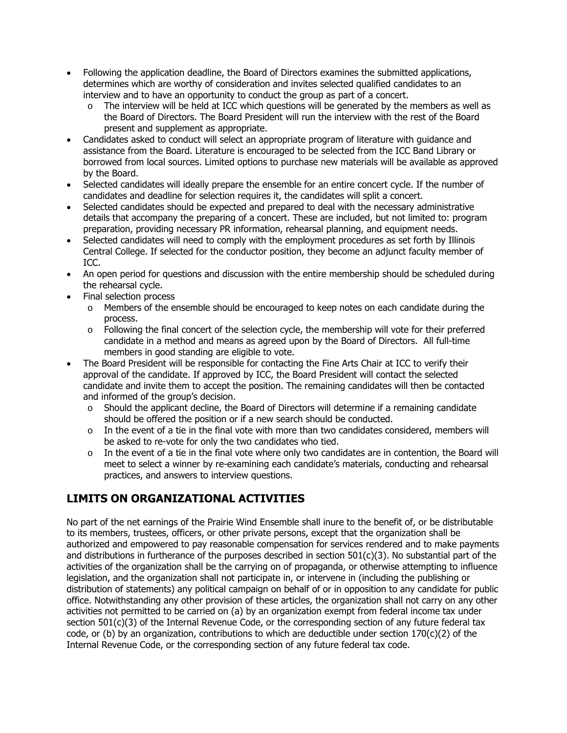- Following the application deadline, the Board of Directors examines the submitted applications, determines which are worthy of consideration and invites selected qualified candidates to an interview and to have an opportunity to conduct the group as part of a concert.
	- $\circ$  The interview will be held at ICC which questions will be generated by the members as well as the Board of Directors. The Board President will run the interview with the rest of the Board present and supplement as appropriate.
- Candidates asked to conduct will select an appropriate program of literature with guidance and assistance from the Board. Literature is encouraged to be selected from the ICC Band Library or borrowed from local sources. Limited options to purchase new materials will be available as approved by the Board.
- Selected candidates will ideally prepare the ensemble for an entire concert cycle. If the number of candidates and deadline for selection requires it, the candidates will split a concert.
- Selected candidates should be expected and prepared to deal with the necessary administrative details that accompany the preparing of a concert. These are included, but not limited to: program preparation, providing necessary PR information, rehearsal planning, and equipment needs.
- Selected candidates will need to comply with the employment procedures as set forth by Illinois Central College. If selected for the conductor position, they become an adjunct faculty member of ICC.
- An open period for questions and discussion with the entire membership should be scheduled during the rehearsal cycle.
- Final selection process
	- o Members of the ensemble should be encouraged to keep notes on each candidate during the process.
	- $\circ$  Following the final concert of the selection cycle, the membership will vote for their preferred candidate in a method and means as agreed upon by the Board of Directors. All full-time members in good standing are eligible to vote.
- The Board President will be responsible for contacting the Fine Arts Chair at ICC to verify their approval of the candidate. If approved by ICC, the Board President will contact the selected candidate and invite them to accept the position. The remaining candidates will then be contacted and informed of the group's decision.
	- $\circ$  Should the applicant decline, the Board of Directors will determine if a remaining candidate should be offered the position or if a new search should be conducted.
	- $\circ$  In the event of a tie in the final vote with more than two candidates considered, members will be asked to re-vote for only the two candidates who tied.
	- $\circ$  In the event of a tie in the final vote where only two candidates are in contention, the Board will meet to select a winner by re-examining each candidate's materials, conducting and rehearsal practices, and answers to interview questions.

# **LIMITS ON ORGANIZATIONAL ACTIVITIES**

No part of the net earnings of the Prairie Wind Ensemble shall inure to the benefit of, or be distributable to its members, trustees, officers, or other private persons, except that the organization shall be authorized and empowered to pay reasonable compensation for services rendered and to make payments and distributions in furtherance of the purposes described in section  $501(c)(3)$ . No substantial part of the activities of the organization shall be the carrying on of propaganda, or otherwise attempting to influence legislation, and the organization shall not participate in, or intervene in (including the publishing or distribution of statements) any political campaign on behalf of or in opposition to any candidate for public office. Notwithstanding any other provision of these articles, the organization shall not carry on any other activities not permitted to be carried on (a) by an organization exempt from federal income tax under section 501(c)(3) of the Internal Revenue Code, or the corresponding section of any future federal tax code, or (b) by an organization, contributions to which are deductible under section  $170(c)(2)$  of the Internal Revenue Code, or the corresponding section of any future federal tax code.